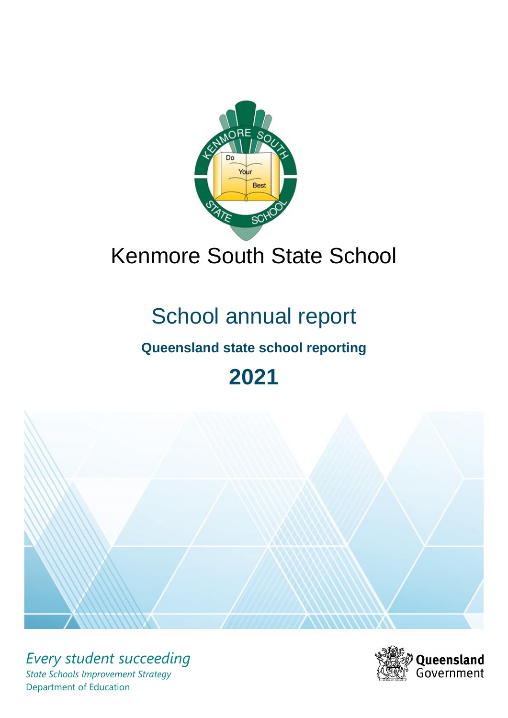

# Kenmore South State School

# School annual report

# **Queensland state school reporting**

# **2021**



*Every student succeeding State Schools Improvement Strategy* Department of Education

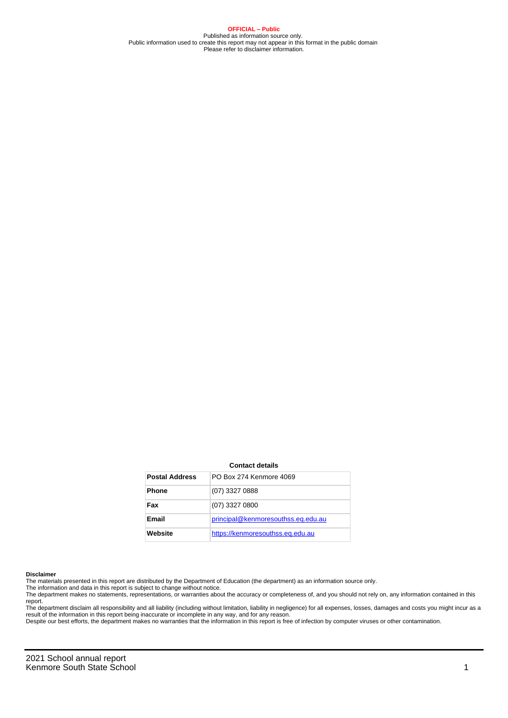**OFFICIAL – Public** Published as information source only. Public information used to create this report may not appear in this format in the public domain Please refer to disclaimer information.

#### **Contact details**

| <b>Postal Address</b> | PO Box 274 Kenmore 4069            |
|-----------------------|------------------------------------|
| <b>Phone</b>          | (07) 3327 0888                     |
| Fax                   | (07) 3327 0800                     |
| Email                 | principal@kenmoresouthss.eq.edu.au |
| Website               | https://kenmoresouthss.eq.edu.au   |

#### **Disclaimer**

The materials presented in this report are distributed by the Department of Education (the department) as an information source only.

The information and data in this report is subject to change without notice.<br>The department makes no statements, representations, or warranties about the accuracy or completeness of, and you should not rely on, any informa report.

The department disclaim all responsibility and all liability (including without limitation, liability in negligence) for all expenses, losses, damages and costs you might incur as a result of the information in this report being inaccurate or incomplete in any way, and for any reason.

Despite our best efforts, the department makes no warranties that the information in this report is free of infection by computer viruses or other contamination.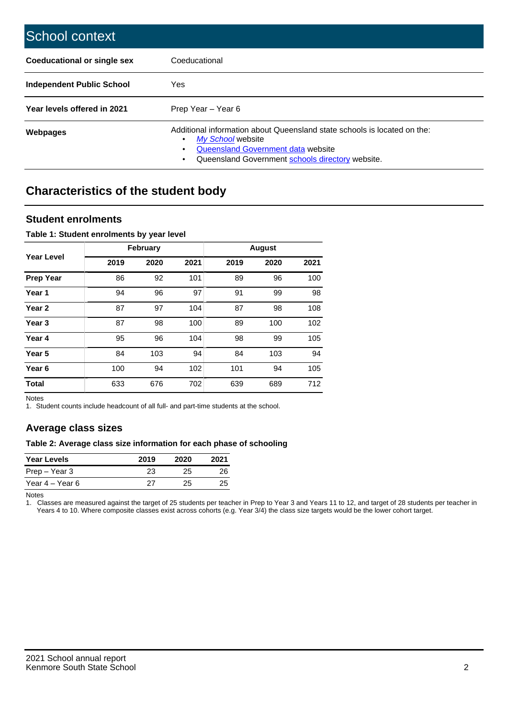| School context                   |                                                                                                                                                                                              |
|----------------------------------|----------------------------------------------------------------------------------------------------------------------------------------------------------------------------------------------|
| Coeducational or single sex      | Coeducational                                                                                                                                                                                |
| <b>Independent Public School</b> | Yes                                                                                                                                                                                          |
| Year levels offered in 2021      | Prep Year - Year 6                                                                                                                                                                           |
| Webpages                         | Additional information about Queensland state schools is located on the:<br>My School website<br>Queensland Government data website<br>Queensland Government schools directory website.<br>٠ |

# **Characteristics of the student body**

### **Student enrolments**

#### **Table 1: Student enrolments by year level**

|                   | <b>February</b> |      |      |      | <b>August</b> |      |
|-------------------|-----------------|------|------|------|---------------|------|
| Year Level        | 2019            | 2020 | 2021 | 2019 | 2020          | 2021 |
| <b>Prep Year</b>  | 86              | 92   | 101  | 89   | 96            | 100  |
| Year 1            | 94              | 96   | 97   | 91   | 99            | 98   |
| Year 2            | 87              | 97   | 104  | 87   | 98            | 108  |
| Year <sub>3</sub> | 87              | 98   | 100  | 89   | 100           | 102  |
| Year 4            | 95              | 96   | 104  | 98   | 99            | 105  |
| Year 5            | 84              | 103  | 94   | 84   | 103           | 94   |
| Year <sub>6</sub> | 100             | 94   | 102  | 101  | 94            | 105  |
| <b>Total</b>      | 633             | 676  | 702  | 639  | 689           | 712  |

Notes

1. Student counts include headcount of all full- and part-time students at the school.

## **Average class sizes**

#### **Table 2: Average class size information for each phase of schooling**

| <b>Year Levels</b> | 2019 | 2020 | 2021 |
|--------------------|------|------|------|
| Prep – Year 3      | 23   | 25   | 26   |
| Year 4 – Year 6    | 27   | 25.  | 25   |

Notes

1. Classes are measured against the target of 25 students per teacher in Prep to Year 3 and Years 11 to 12, and target of 28 students per teacher in Years 4 to 10. Where composite classes exist across cohorts (e.g. Year 3/4) the class size targets would be the lower cohort target.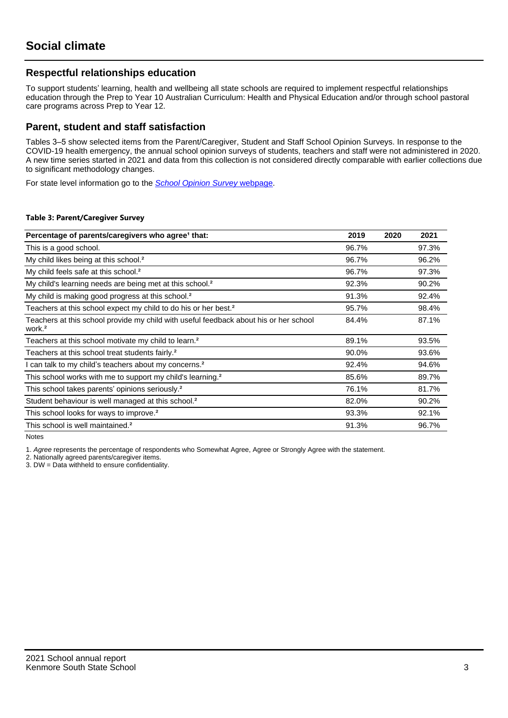## **Respectful relationships education**

To support students' learning, health and wellbeing all state schools are required to implement respectful relationships education through the Prep to Year 10 Australian Curriculum: Health and Physical Education and/or through school pastoral care programs across Prep to Year 12.

### **Parent, student and staff satisfaction**

Tables 3–5 show selected items from the Parent/Caregiver, Student and Staff School Opinion Surveys. In response to the COVID-19 health emergency, the annual school opinion surveys of students, teachers and staff were not administered in 2020. A new time series started in 2021 and data from this collection is not considered directly comparable with earlier collections due to significant methodology changes.

For state level information go to the **[School Opinion Survey](https://qed.qld.gov.au/publications/reports/statistics/schooling/schools/schoolopinionsurvey) webpage**.

#### **Table 3: Parent/Caregiver Survey**

| Percentage of parents/caregivers who agree <sup>1</sup> that:                                               | 2019  | 2020 | 2021  |
|-------------------------------------------------------------------------------------------------------------|-------|------|-------|
| This is a good school.                                                                                      | 96.7% |      | 97.3% |
| My child likes being at this school. <sup>2</sup>                                                           | 96.7% |      | 96.2% |
| My child feels safe at this school. <sup>2</sup>                                                            | 96.7% |      | 97.3% |
| My child's learning needs are being met at this school. <sup>2</sup>                                        | 92.3% |      | 90.2% |
| My child is making good progress at this school. <sup>2</sup>                                               | 91.3% |      | 92.4% |
| Teachers at this school expect my child to do his or her best. <sup>2</sup>                                 | 95.7% |      | 98.4% |
| Teachers at this school provide my child with useful feedback about his or her school<br>work. <sup>2</sup> | 84.4% |      | 87.1% |
| Teachers at this school motivate my child to learn. <sup>2</sup>                                            | 89.1% |      | 93.5% |
| Teachers at this school treat students fairly. <sup>2</sup>                                                 | 90.0% |      | 93.6% |
| can talk to my child's teachers about my concerns. <sup>2</sup>                                             | 92.4% |      | 94.6% |
| This school works with me to support my child's learning. <sup>2</sup>                                      | 85.6% |      | 89.7% |
| This school takes parents' opinions seriously. <sup>2</sup>                                                 | 76.1% |      | 81.7% |
| Student behaviour is well managed at this school. <sup>2</sup>                                              | 82.0% |      | 90.2% |
| This school looks for ways to improve. <sup>2</sup>                                                         | 93.3% |      | 92.1% |
| This school is well maintained. <sup>2</sup>                                                                | 91.3% |      | 96.7% |

Notes

1. Agree represents the percentage of respondents who Somewhat Agree, Agree or Strongly Agree with the statement.

2. Nationally agreed parents/caregiver items.

3. DW = Data withheld to ensure confidentiality.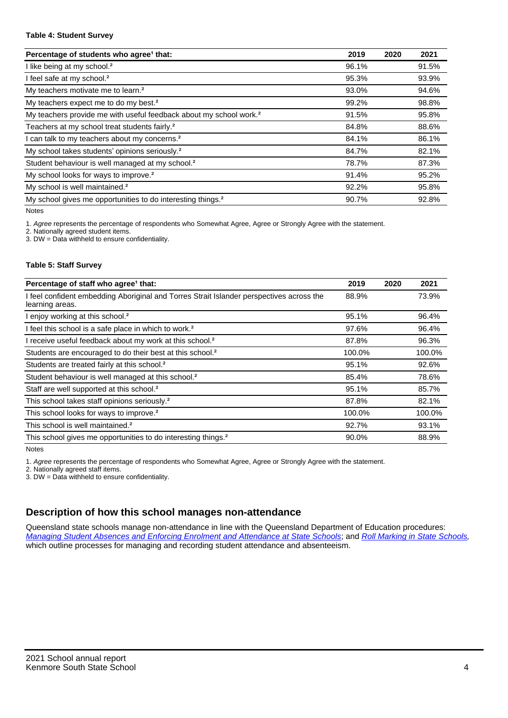#### **Table 4: Student Survey**

| Percentage of students who agree <sup>1</sup> that:                            | 2019  | 2020 | 2021  |
|--------------------------------------------------------------------------------|-------|------|-------|
| I like being at my school. <sup>2</sup>                                        | 96.1% |      | 91.5% |
| I feel safe at my school. <sup>2</sup>                                         | 95.3% |      | 93.9% |
| My teachers motivate me to learn. <sup>2</sup>                                 | 93.0% |      | 94.6% |
| My teachers expect me to do my best. <sup>2</sup>                              | 99.2% |      | 98.8% |
| My teachers provide me with useful feedback about my school work. <sup>2</sup> | 91.5% |      | 95.8% |
| Teachers at my school treat students fairly. <sup>2</sup>                      | 84.8% |      | 88.6% |
| I can talk to my teachers about my concerns. <sup>2</sup>                      | 84.1% |      | 86.1% |
| My school takes students' opinions seriously. <sup>2</sup>                     | 84.7% |      | 82.1% |
| Student behaviour is well managed at my school. <sup>2</sup>                   | 78.7% |      | 87.3% |
| My school looks for ways to improve. <sup>2</sup>                              | 91.4% |      | 95.2% |
| My school is well maintained. <sup>2</sup>                                     | 92.2% |      | 95.8% |
| My school gives me opportunities to do interesting things. <sup>2</sup>        | 90.7% |      | 92.8% |

Notes

1. Agree represents the percentage of respondents who Somewhat Agree, Agree or Strongly Agree with the statement.

2. Nationally agreed student items.

3. DW = Data withheld to ensure confidentiality.

#### **Table 5: Staff Survey**

| Percentage of staff who agree <sup>1</sup> that:                                                            | 2019   | 2020 | 2021   |
|-------------------------------------------------------------------------------------------------------------|--------|------|--------|
| I feel confident embedding Aboriginal and Torres Strait Islander perspectives across the<br>learning areas. | 88.9%  |      | 73.9%  |
| I enjoy working at this school. <sup>2</sup>                                                                | 95.1%  |      | 96.4%  |
| I feel this school is a safe place in which to work. <sup>2</sup>                                           | 97.6%  |      | 96.4%  |
| I receive useful feedback about my work at this school. <sup>2</sup>                                        | 87.8%  |      | 96.3%  |
| Students are encouraged to do their best at this school. <sup>2</sup>                                       | 100.0% |      | 100.0% |
| Students are treated fairly at this school. <sup>2</sup>                                                    | 95.1%  |      | 92.6%  |
| Student behaviour is well managed at this school. <sup>2</sup>                                              | 85.4%  |      | 78.6%  |
| Staff are well supported at this school. <sup>2</sup>                                                       | 95.1%  |      | 85.7%  |
| This school takes staff opinions seriously. <sup>2</sup>                                                    | 87.8%  |      | 82.1%  |
| This school looks for ways to improve. <sup>2</sup>                                                         | 100.0% |      | 100.0% |
| This school is well maintained. <sup>2</sup>                                                                | 92.7%  |      | 93.1%  |
| This school gives me opportunities to do interesting things. <sup>2</sup>                                   | 90.0%  |      | 88.9%  |

Notes

1. Agree represents the percentage of respondents who Somewhat Agree, Agree or Strongly Agree with the statement.

2. Nationally agreed staff items.

3. DW = Data withheld to ensure confidentiality.

## **Description of how this school manages non-attendance**

Queensland state schools manage non-attendance in line with the Queensland Department of Education procedures: [Managing Student Absences and Enforcing Enrolment and Attendance at State Schools](https://ppr.qed.qld.gov.au/pp/managing-student-absences-and-enforcing-enrolment-and-attendance-at-state-schools-procedure); and [Roll Marking in State Schools,](https://ppr.qed.qld.gov.au/pp/roll-marking-in-state-schools-procedure) which outline processes for managing and recording student attendance and absenteeism.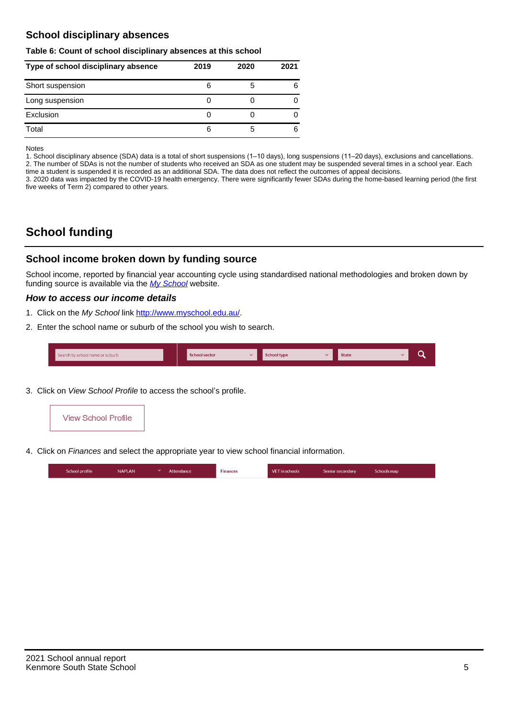## **School disciplinary absences**

#### **Table 6: Count of school disciplinary absences at this school**

| Type of school disciplinary absence | 2019 | 2020 | 2021 |
|-------------------------------------|------|------|------|
| Short suspension                    | 6    | b    | 6    |
| Long suspension                     |      |      |      |
| Exclusion                           |      |      |      |
| Total                               | 6    | b    | 6    |

Notes

1. School disciplinary absence (SDA) data is a total of short suspensions (1–10 days), long suspensions (11–20 days), exclusions and cancellations. 2. The number of SDAs is not the number of students who received an SDA as one student may be suspended several times in a school year. Each time a student is suspended it is recorded as an additional SDA. The data does not reflect the outcomes of appeal decisions.

3. 2020 data was impacted by the COVID-19 health emergency. There were significantly fewer SDAs during the home-based learning period (the first five weeks of Term 2) compared to other years.

# **School funding**

## **School income broken down by funding source**

School income, reported by financial year accounting cycle using standardised national methodologies and broken down by funding source is available via the  $My$  School website.

#### **How to access our income details**

- 1. Click on the My School link <http://www.myschool.edu.au/>.
- 2. Enter the school name or suburb of the school you wish to search.

|  | Search by school name or suburb |  | <b>School sector</b> |  | $\sim$ and $\sim$ represents the set of $\sim$ | <b>State</b> |  |  |  |
|--|---------------------------------|--|----------------------|--|------------------------------------------------|--------------|--|--|--|
|--|---------------------------------|--|----------------------|--|------------------------------------------------|--------------|--|--|--|

3. Click on View School Profile to access the school's profile.



4. Click on Finances and select the appropriate year to view school financial information.

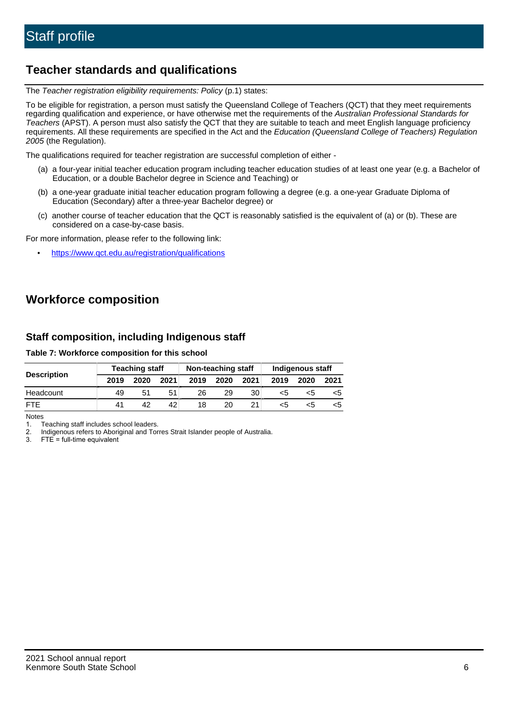# **Teacher standards and qualifications**

The Teacher registration eligibility requirements: Policy (p.1) states:

To be eligible for registration, a person must satisfy the Queensland College of Teachers (QCT) that they meet requirements regarding qualification and experience, or have otherwise met the requirements of the Australian Professional Standards for Teachers (APST). A person must also satisfy the QCT that they are suitable to teach and meet English language proficiency requirements. All these requirements are specified in the Act and the Education (Queensland College of Teachers) Regulation 2005 (the Regulation).

The qualifications required for teacher registration are successful completion of either -

- (a) a four-year initial teacher education program including teacher education studies of at least one year (e.g. a Bachelor of Education, or a double Bachelor degree in Science and Teaching) or
- (b) a one-year graduate initial teacher education program following a degree (e.g. a one-year Graduate Diploma of Education (Secondary) after a three-year Bachelor degree) or
- (c) another course of teacher education that the QCT is reasonably satisfied is the equivalent of (a) or (b). These are considered on a case-by-case basis.

For more information, please refer to the following link:

• <https://www.qct.edu.au/registration/qualifications>

# **Workforce composition**

## **Staff composition, including Indigenous staff**

#### **Table 7: Workforce composition for this school**

|                    |      | <b>Teaching staff</b> |      |      | Non-teaching staff |      |      | Indigenous staff |      |
|--------------------|------|-----------------------|------|------|--------------------|------|------|------------------|------|
| <b>Description</b> | 2019 | 2020                  | 2021 | 2019 | 2020               | 2021 | 2019 | 2020             | 2021 |
| Headcount          | 49   | 51                    |      | 26   | 29                 | 30   | <5   | <5               |      |
| <b>FTF</b>         | 41   | 42                    | 42   | 18   | 20                 |      | <5   | ה>               |      |

Notes

1. Teaching staff includes school leaders.

2. Indigenous refers to Aboriginal and Torres Strait Islander people of Australia.

3. FTE = full-time equivalent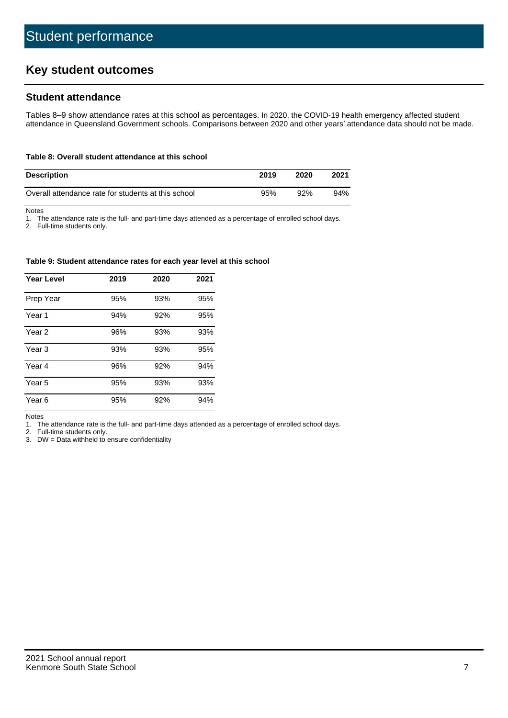# **Key student outcomes**

## **Student attendance**

Tables 8–9 show attendance rates at this school as percentages. In 2020, the COVID-19 health emergency affected student attendance in Queensland Government schools. Comparisons between 2020 and other years' attendance data should not be made.

#### **Table 8: Overall student attendance at this school**

| <b>Description</b>                                  | 2019 | 2020 | 2021 |
|-----------------------------------------------------|------|------|------|
| Overall attendance rate for students at this school | 95%  | 92%  | 94%  |

Notes

1. The attendance rate is the full- and part-time days attended as a percentage of enrolled school days.

2. Full-time students only.

#### **Table 9: Student attendance rates for each year level at this school**

| Year Level        | 2019 | 2020 | 2021 |
|-------------------|------|------|------|
| Prep Year         | 95%  | 93%  | 95%  |
| Year <sub>1</sub> | 94%  | 92%  | 95%  |
| Year 2            | 96%  | 93%  | 93%  |
| Year 3            | 93%  | 93%  | 95%  |
| Year 4            | 96%  | 92%  | 94%  |
| Year 5            | 95%  | 93%  | 93%  |
| Year 6            | 95%  | 92%  | 94%  |

Notes

1. The attendance rate is the full- and part-time days attended as a percentage of enrolled school days.

2. Full-time students only.

3. DW = Data withheld to ensure confidentiality